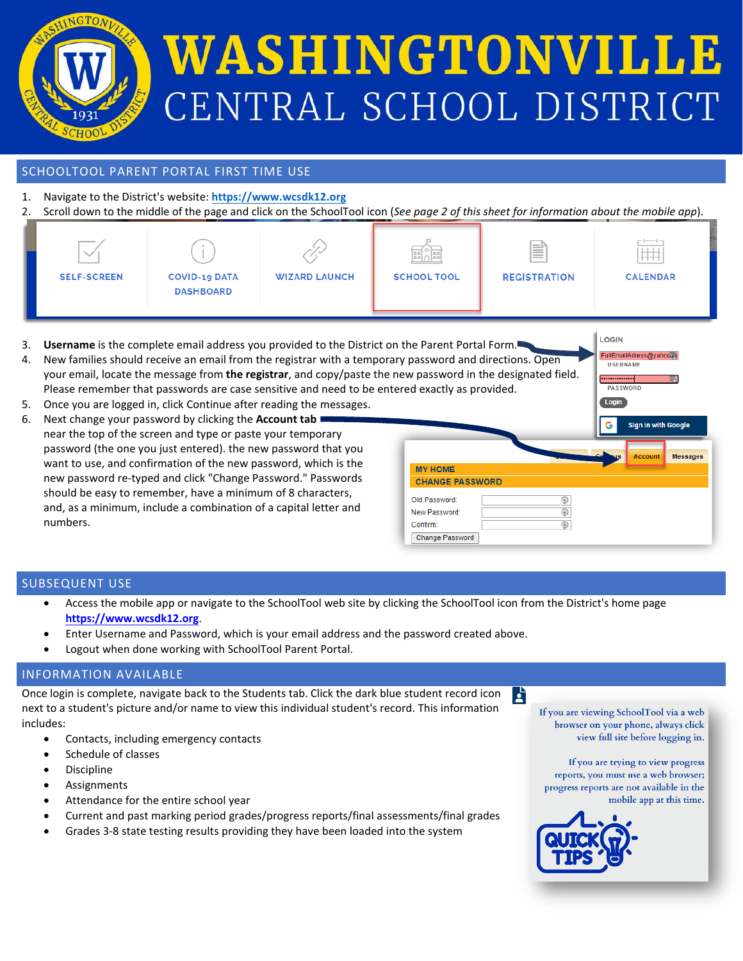

# WASHINGTONVILLE CENTRAL SCHOOL DISTRICT

### SCHOOLTOOL PARENT PORTAL FIRST TIME USE

- 1. Navigate to the District's website: **[https://www.wcsdk12.org](https://www.ws.k12.ny.us/)**
- 2. Scroll down to the middle of the page and click on the SchoolTool icon (*See page 2 of this sheet for information about the mobile app*).

| ___<br><b>SELF-SCREEN</b> | <b>COVID-19 DATA</b> | <b>WIZARD LAUNCH</b> | 国。国<br><b>SCHOOL TOOL</b> | ≣<br><b>REGISTRATION</b> | $-1$ -1-1<br>$\#$<br><b>CALENDAR</b> |
|---------------------------|----------------------|----------------------|---------------------------|--------------------------|--------------------------------------|
|                           | <b>DASHBOARD</b>     |                      |                           |                          |                                      |

- 3. **Username** is the complete email address you provided to the District on the Parent Portal Form.
- 4. New families should receive an email from the registrar with a temporary password and directions. Open your email, locate the message from the registrar, and copy/paste the n Please remember that passwords are case sensitive and need to be enter
- 5. Once you are logged in, click Continue after reading the messages.
- 6. Next change your password by clicking the **Account tab** near the top of the screen and type or paste your temporary password (the one you just entered). the new password that you want to use, and confirmation of the new password, which is the new password re-typed and click "Change Password." Passwords should be easy to remember, have a minimum of 8 characters, and, as a minimum, include a combination of a capital letter and numbers.

| ew password in the designated field.<br>red exactly as provided. |   | <b>UJERNAME</b><br><b>PASSWORD</b><br>Login |                            |                 |
|------------------------------------------------------------------|---|---------------------------------------------|----------------------------|-----------------|
|                                                                  |   | G                                           | <b>Sign in with Google</b> |                 |
|                                                                  |   | <b>VIS</b>                                  | <b>Account</b>             | <b>Messages</b> |
| <b>MY HOME</b>                                                   |   |                                             |                            |                 |
| <b>CHANGE PASSWORD</b>                                           |   |                                             |                            |                 |
| Old Password:                                                    | ۵ |                                             |                            |                 |
| New Password:                                                    | ⊕ |                                             |                            |                 |
| Confirm:                                                         | ⊕ |                                             |                            |                 |
| Change Password                                                  |   |                                             |                            |                 |

A

LOGIN

FullEmailAdress@yahoo.co

### SUBSEQUENT USE

- Access the mobile app or navigate to the SchoolTool web site by clicking the SchoolTool icon from the District's home page **<https://www.wcsdk12.org>**.
- Enter Username and Password, which is your email address and the password created above.
- Logout when done working with SchoolTool Parent Portal.

### INFORMATION AVAILABLE

Once login is complete, navigate back to the Students tab. Click the dark blue student record icon next to a student's picture and/or name to view this individual student's record. This information includes:

- Contacts, including emergency contacts
- Schedule of classes
- **Discipline**
- **Assignments**
- Attendance for the entire school year
- Current and past marking period grades/progress reports/final assessments/final grades
- Grades 3-8 state testing results providing they have been loaded into the system

If you are viewing SchoolTool via a web browser on your phone, always click view full site before logging in.

If you are trying to view progress reports, you must use a web browser; progress reports are not available in the mobile app at this time.